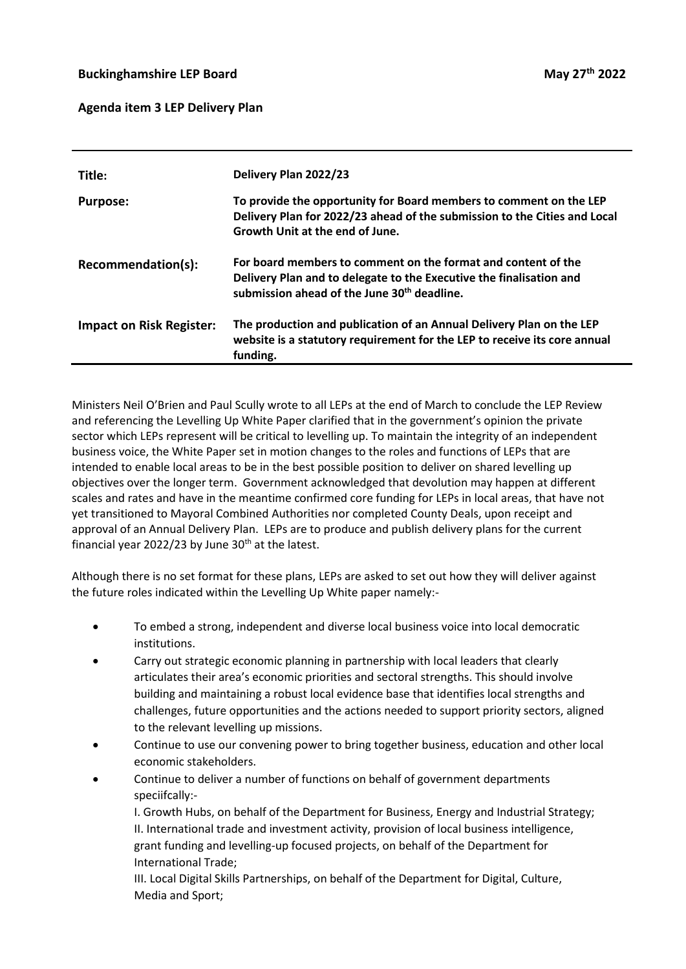## **Agenda item 3 LEP Delivery Plan**

| Title:                          | Delivery Plan 2022/23                                                                                                                                                                           |
|---------------------------------|-------------------------------------------------------------------------------------------------------------------------------------------------------------------------------------------------|
| <b>Purpose:</b>                 | To provide the opportunity for Board members to comment on the LEP<br>Delivery Plan for 2022/23 ahead of the submission to the Cities and Local<br>Growth Unit at the end of June.              |
| Recommendation(s):              | For board members to comment on the format and content of the<br>Delivery Plan and to delegate to the Executive the finalisation and<br>submission ahead of the June 30 <sup>th</sup> deadline. |
| <b>Impact on Risk Register:</b> | The production and publication of an Annual Delivery Plan on the LEP<br>website is a statutory requirement for the LEP to receive its core annual<br>funding.                                   |

Ministers Neil O'Brien and Paul Scully wrote to all LEPs at the end of March to conclude the LEP Review and referencing the Levelling Up White Paper clarified that in the government's opinion the private sector which LEPs represent will be critical to levelling up. To maintain the integrity of an independent business voice, the White Paper set in motion changes to the roles and functions of LEPs that are intended to enable local areas to be in the best possible position to deliver on shared levelling up objectives over the longer term. Government acknowledged that devolution may happen at different scales and rates and have in the meantime confirmed core funding for LEPs in local areas, that have not yet transitioned to Mayoral Combined Authorities nor completed County Deals, upon receipt and approval of an Annual Delivery Plan. LEPs are to produce and publish delivery plans for the current financial year 2022/23 by June  $30<sup>th</sup>$  at the latest.

Although there is no set format for these plans, LEPs are asked to set out how they will deliver against the future roles indicated within the Levelling Up White paper namely:-

- To embed a strong, independent and diverse local business voice into local democratic institutions.
- Carry out strategic economic planning in partnership with local leaders that clearly articulates their area's economic priorities and sectoral strengths. This should involve building and maintaining a robust local evidence base that identifies local strengths and challenges, future opportunities and the actions needed to support priority sectors, aligned to the relevant levelling up missions.
- Continue to use our convening power to bring together business, education and other local economic stakeholders.
- Continue to deliver a number of functions on behalf of government departments speciifcally:-
	- I. Growth Hubs, on behalf of the Department for Business, Energy and Industrial Strategy; II. International trade and investment activity, provision of local business intelligence, grant funding and levelling-up focused projects, on behalf of the Department for International Trade;
	- III. Local Digital Skills Partnerships, on behalf of the Department for Digital, Culture, Media and Sport;